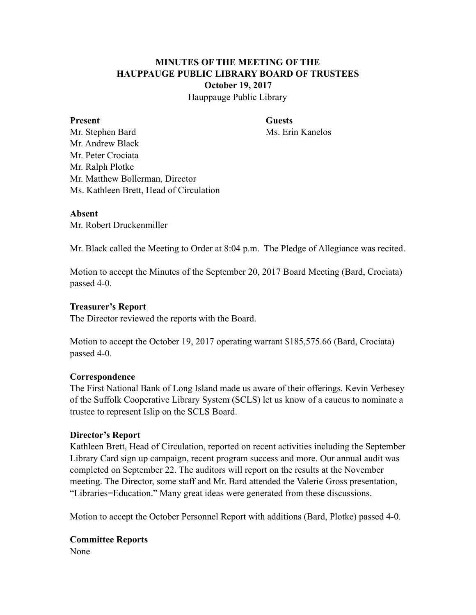# **MINUTES OF THE MEETING OF THE HAUPPAUGE PUBLIC LIBRARY BOARD OF TRUSTEES October 19, 2017**

Hauppauge Public Library

#### **Present Guests**

Mr. Stephen Bard Ms. Erin Kanelos Mr. Andrew Black Mr. Peter Crociata Mr. Ralph Plotke Mr. Matthew Bollerman, Director Ms. Kathleen Brett, Head of Circulation

#### **Absent**

Mr. Robert Druckenmiller

Mr. Black called the Meeting to Order at 8:04 p.m. The Pledge of Allegiance was recited.

Motion to accept the Minutes of the September 20, 2017 Board Meeting (Bard, Crociata) passed 4-0.

#### **Treasurer's Report**

The Director reviewed the reports with the Board.

Motion to accept the October 19, 2017 operating warrant \$185,575.66 (Bard, Crociata) passed 4-0.

#### **Correspondence**

The First National Bank of Long Island made us aware of their offerings. Kevin Verbesey of the Suffolk Cooperative Library System (SCLS) let us know of a caucus to nominate a trustee to represent Islip on the SCLS Board.

#### **Director's Report**

Kathleen Brett, Head of Circulation, reported on recent activities including the September Library Card sign up campaign, recent program success and more. Our annual audit was completed on September 22. The auditors will report on the results at the November meeting. The Director, some staff and Mr. Bard attended the Valerie Gross presentation, "Libraries=Education." Many great ideas were generated from these discussions.

Motion to accept the October Personnel Report with additions (Bard, Plotke) passed 4-0.

## **Committee Reports**

None